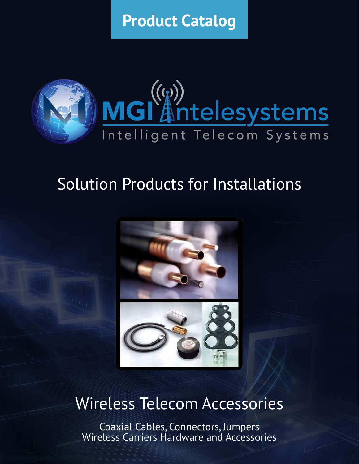**Product Catalog**



# Solution Products for Installations



# Wireless Telecom Accessories

Coaxial Cables, Connectors, Jumpers Wireless Carriers Hardware and Accessories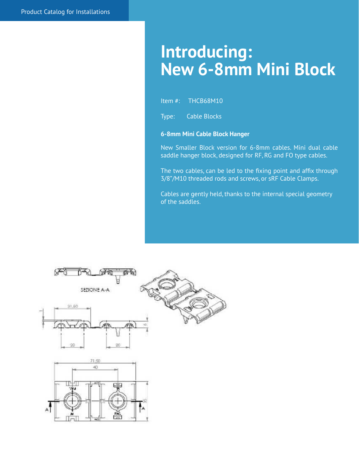# **Introducing: New 6-8mm Mini Block**

Item #: THCB68M10

Type: Cable Blocks

#### **6-8mm Mini Cable Block Hanger**

New Smaller Block version for 6-8mm cables. Mini dual cable saddle hanger block, designed for RF, RG and FO type cables.

The two cables, can be led to the fixing point and affix through 3/8"/M10 threaded rods and screws, or sRF Cable Clamps.

Cables are gently held, thanks to the internal special geometry of the saddles.

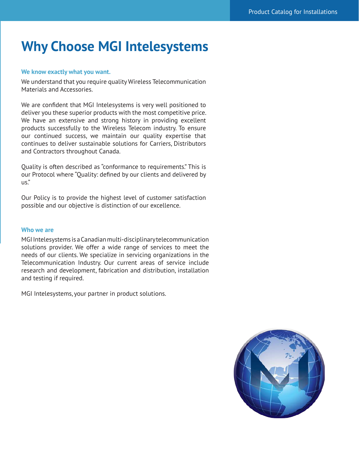# **Why Choose MGI Intelesystems**

#### **We know exactly what you want.**

We understand that you require quality Wireless Telecommunication Materials and Accessories.

We are confident that MGI Intelesystems is very well positioned to deliver you these superior products with the most competitive price. We have an extensive and strong history in providing excellent products successfully to the Wireless Telecom industry. To ensure our continued success, we maintain our quality expertise that continues to deliver sustainable solutions for Carriers, Distributors and Contractors throughout Canada.

Quality is often described as "conformance to requirements." This is our Protocol where "Quality: defined by our clients and delivered by us."

Our Policy is to provide the highest level of customer satisfaction possible and our objective is distinction of our excellence.

#### **Who we are**

MGI Intelesystems is a Canadian multi-disciplinary telecommunication solutions provider. We offer a wide range of services to meet the needs of our clients. We specialize in servicing organizations in the Telecommunication Industry. Our current areas of service include research and development, fabrication and distribution, installation and testing if required.

MGI Intelesystems, your partner in product solutions.

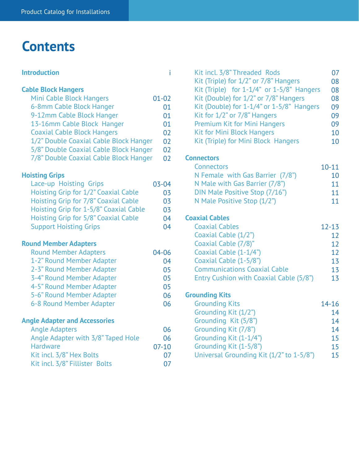# **Contents**

# **Introduction**

**Cable Block Hangers**

| Mini Cable Block Hangers               | $01 - 02$ |
|----------------------------------------|-----------|
| 6-8mm Cable Block Hanger               | 01        |
| 9-12mm Cable Block Hanger              | 01        |
| 13-16mm Cable Block Hanger             | 01        |
| <b>Coaxial Cable Block Hangers</b>     | 02        |
| 1/2" Double Coaxial Cable Block Hanger | 02        |
| 5/8" Double Coaxial Cable Block Hanger | 02        |
| 7/8" Double Coaxial Cable Block Hanger | 02        |

# **Hoisting Grips**

| Lace-up Hoisting Grips                 | $03 - 04$ |
|----------------------------------------|-----------|
| Hoisting Grip for 1/2" Coaxial Cable   | 03        |
| Hoisting Grip for 7/8" Coaxial Cable   | 03        |
| Hoisting Grip for 1-5/8" Coaxial Cable | 03        |
| Hoisting Grip for 5/8" Coaxial Cable   | 04        |
| <b>Support Hoisting Grips</b>          | በ4        |

# **Round Member Adapters**

| <b>Round Member Adapters</b> | 04-06 |
|------------------------------|-------|
| 1-2" Round Member Adapter    | 04    |
| 2-3" Round Member Adapter    | 05    |
| 3-4" Round Member Adapter    | 05    |
| 4-5" Round Member Adapter    | 05    |
| 5-6" Round Member Adapter    | 06    |
| 6-8 Round Member Adapter     | 06    |
|                              |       |

# **Angle Adapter and Accessories**

| <b>Angle Adapters</b>              | 06      |
|------------------------------------|---------|
| Angle Adapter with 3/8" Taped Hole | 06      |
| Hardware                           | $07-10$ |
| Kit incl. 3/8" Hex Bolts           | 07      |
| Kit incl. 3/8" Fillister Bolts     |         |

| i         | Kit incl. 3/8" Threaded Rods              | 07        |
|-----------|-------------------------------------------|-----------|
|           | Kit (Triple) for 1/2" or 7/8" Hangers     | 08        |
|           | Kit (Triple) for 1-1/4" or 1-5/8" Hangers | 08        |
|           | Kit (Double) for 1/2" or 7/8" Hangers     | 08        |
|           | Kit (Double) for 1-1/4" or 1-5/8" Hangers | 09        |
|           | Kit for 1/2" or 7/8" Hangers              | 09        |
|           | Premium Kit for Mini Hangers              | 09        |
|           | <b>Kit for Mini Block Hangers</b>         | 10        |
|           | Kit (Triple) for Mini Block Hangers       | 10        |
|           | <b>Connectors</b>                         |           |
|           | Connectors                                | $10 - 11$ |
|           | N Female with Gas Barrier (7/8")          | 10        |
|           | N Male with Gas Barrier (7/8")            | 11        |
|           | DIN Male Positive Stop (7/16")            | 11        |
| ろろ        | N Male Positive Stop (1/2")               | 11        |
|           |                                           |           |
| į.        | <b>Coaxial Cables</b>                     |           |
| ļ         | <b>Coaxial Cables</b>                     | $12 - 13$ |
|           | Coaxial Cable (1/2")                      | 12        |
|           | Coaxial Cable (7/8)"                      | 12        |
|           | Coaxial Cable (1-1/4")                    | 12        |
|           | Coaxial Cable (1-5/8")                    | 13        |
|           | <b>Communications Coaxial Cable</b>       | 13        |
| こりこり こりこう | Entry Cushion with Coaxial Cable (5/8")   | 13        |
|           |                                           |           |
|           | <b>Grounding Kits</b>                     |           |
|           | <b>Grounding Kits</b>                     | $14 - 16$ |
|           | Grounding Kit (1/2")                      | 14        |
|           | Grounding Kit (5/8")                      | 14        |
|           | Grounding Kit (7/8")                      | 14        |
|           | Grounding Kit (1-1/4")                    | 15        |
|           | Grounding Kit (1-5/8")                    | 15        |
| 7         | Universal Grounding Kit (1/2" to 1-5/8")  | 15        |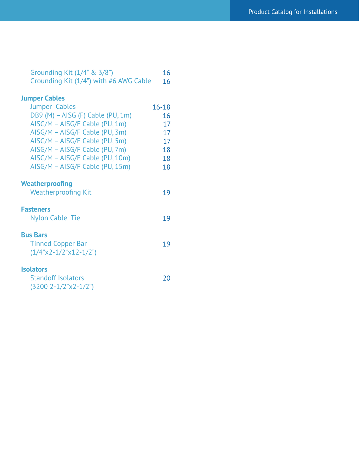| Grounding Kit (1/4" & 3/8")            | 16        |
|----------------------------------------|-----------|
| Grounding Kit (1/4") with #6 AWG Cable | 16        |
|                                        |           |
| <b>Jumper Cables</b>                   |           |
| <b>Jumper Cables</b>                   | $16 - 18$ |
| DB9 (M) - AISG (F) Cable (PU, 1m)      | 16        |
| AISG/M - AISG/F Cable (PU, 1m)         | 17        |
| AISG/M - AISG/F Cable (PU, 3m)         | 17        |
| AISG/M - AISG/F Cable (PU, 5m)         | 17        |
| AISG/M - AISG/F Cable (PU, 7m)         | 18        |
| AISG/M - AISG/F Cable (PU, 10m)        | 18        |
| AISG/M - AISG/F Cable (PU, 15m)        | 18        |
|                                        |           |
| <b>Weatherproofing</b>                 |           |
| <b>Weatherproofing Kit</b>             | 19        |
|                                        |           |
| <b>Fasteners</b>                       |           |
| Nylon Cable Tie                        | 19        |
|                                        |           |
| <b>Bus Bars</b>                        |           |
| <b>Tinned Copper Bar</b>               | 19        |
| $(1/4"x2-1/2"x12-1/2")$                |           |
|                                        |           |
| <b>Isolators</b>                       |           |
|                                        |           |
| <b>Standoff Isolators</b>              | 20        |
| $(3200 \ 2 - 1/2" x 2 - 1/2")$         |           |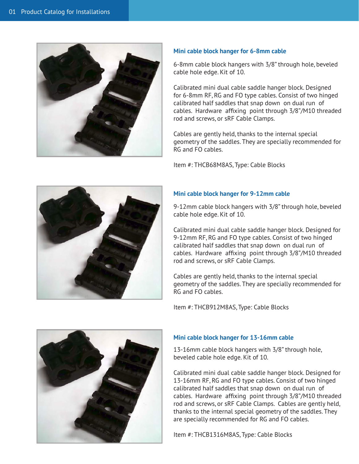

#### **Mini cable block hanger for 6-8mm cable**

6-8mm cable block hangers with 3/8" through hole, beveled cable hole edge. Kit of 10.

Calibrated mini dual cable saddle hanger block. Designed for 6-8mm RF, RG and FO type cables. Consist of two hinged calibrated half saddles that snap down on dual run of cables. Hardware affixing point through 3/8"/M10 threaded rod and screws, or sRF Cable Clamps.

Cables are gently held, thanks to the internal special geometry of the saddles. They are specially recommended for RG and FO cables.

Item #: THCB68M8AS, Type: Cable Blocks



### **Mini cable block hanger for 9-12mm cable**

9-12mm cable block hangers with 3/8" through hole, beveled cable hole edge. Kit of 10.

Calibrated mini dual cable saddle hanger block. Designed for 9-12mm RF, RG and FO type cables. Consist of two hinged calibrated half saddles that snap down on dual run of cables. Hardware affixing point through 3/8"/M10 threaded rod and screws, or sRF Cable Clamps.

Cables are gently held, thanks to the internal special geometry of the saddles. They are specially recommended for RG and FO cables.

Item #: THCB912M8AS, Type: Cable Blocks



#### **Mini cable block hanger for 13-16mm cable**

13-16mm cable block hangers with 3/8" through hole, beveled cable hole edge. Kit of 10.

Calibrated mini dual cable saddle hanger block. Designed for 13-16mm RF, RG and FO type cables. Consist of two hinged calibrated half saddles that snap down on dual run of cables. Hardware affixing point through 3/8"/M10 threaded rod and screws, or sRF Cable Clamps. Cables are gently held, thanks to the internal special geometry of the saddles. They are specially recommended for RG and FO cables.

Item #: THCB1316M8AS, Type: Cable Blocks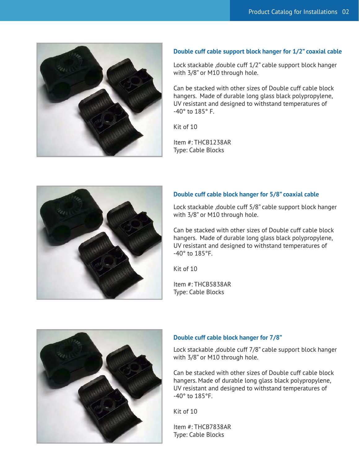

#### **Double cuff cable support block hanger for 1/2" coaxial cable**

Lock stackable ,double cuff 1/2" cable support block hanger with 3/8" or M10 through hole.

Can be stacked with other sizes of Double cuff cable block hangers. Made of durable long glass black polypropylene, UV resistant and designed to withstand temperatures of -40° to 185° F.

Kit of 10

Item #: THCB1238AR Type: Cable Blocks



#### **Double cuff cable block hanger for 5/8" coaxial cable**

Lock stackable ,double cuff 5/8" cable support block hanger with 3/8" or M10 through hole.

Can be stacked with other sizes of Double cuff cable block hangers. Made of durable long glass black polypropylene, UV resistant and designed to withstand temperatures of -40° to 185°F.

Kit of 10

Item #: THCB5838AR Type: Cable Blocks



### **Double cuff cable block hanger for 7/8"**

Lock stackable ,double cuff 7/8" cable support block hanger with 3/8" or M10 through hole.

Can be stacked with other sizes of Double cuff cable block hangers. Made of durable long glass black polypropylene, UV resistant and designed to withstand temperatures of -40° to 185°F.

Kit of 10

Item #: THCB7838AR Type: Cable Blocks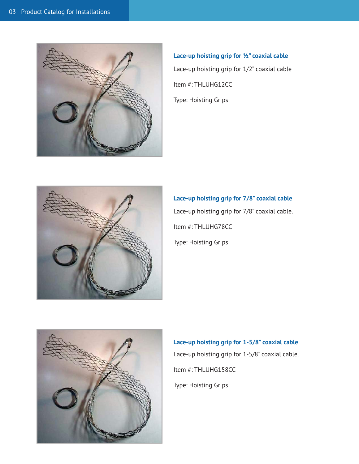

**Lace-up hoisting grip for ½" coaxial cable** Lace-up hoisting grip for 1/2" coaxial cable Item #: THLUHG12CC Type: Hoisting Grips



**Lace-up hoisting grip for 7/8" coaxial cable** Lace-up hoisting grip for 7/8" coaxial cable. Item #: THLUHG78CC Type: Hoisting Grips



**Lace-up hoisting grip for 1-5/8" coaxial cable** Lace-up hoisting grip for 1-5/8" coaxial cable. Item #: THLUHG158CC Type: Hoisting Grips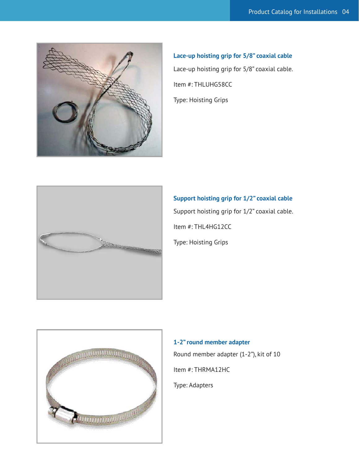

**Lace-up hoisting grip for 5/8" coaxial cable** Lace-up hoisting grip for 5/8" coaxial cable. Item #: THLUHG58CC Type: Hoisting Grips



**Support hoisting grip for 1/2" coaxial cable** Support hoisting grip for 1/2" coaxial cable. Item #: THL4HG12CC Type: Hoisting Grips



**1-2" round member adapter** Round member adapter (1-2"), kit of 10 Item #: THRMA12HC Type: Adapters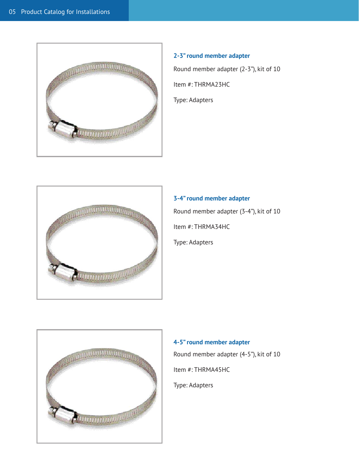

# **2-3" round member adapter** Round member adapter (2-3"), kit of 10 Item #: THRMA23HC Type: Adapters



**3-4" round member adapter** Round member adapter (3-4"), kit of 10 Item #: THRMA34HC Type: Adapters



# **4-5" round member adapter** Round member adapter (4-5"), kit of 10 Item #: THRMA45HC Type: Adapters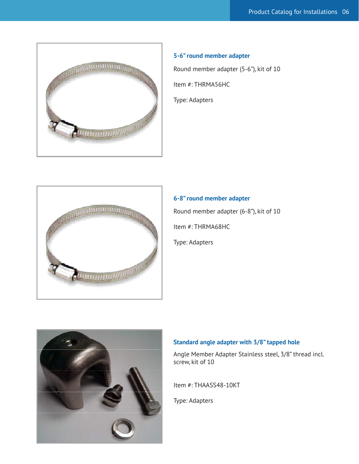

# **5-6" round member adapter**

Round member adapter (5-6"), kit of 10

Item #: THRMA56HC

Type: Adapters



# **6-8" round member adapter** Round member adapter (6-8"), kit of 10 Item #: THRMA68HC Type: Adapters



### **Standard angle adapter with 3/8" tapped hole**

Angle Member Adapter Stainless steel, 3/8" thread incl. screw, kit of 10

Item #: THAASS48-10KT

Type: Adapters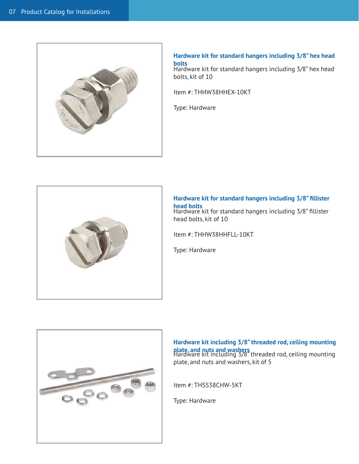

#### **Hardware kit for standard hangers including 3/8" hex head bolts**

Hardware kit for standard hangers including 3/8" hex head bolts, kit of 10

Item #: THHW38HHEX-10KT

Type: Hardware



**Hardware kit for standard hangers including 3/8" fillister head bolts** Hardware kit for standard hangers including 3/8" fillister head bolts, kit of 10

Item #: THHW38HHFLL-10KT

Type: Hardware



**Hardware kit including 3/8" threaded rod, ceiling mounting plate, and nuts and washers**<br>Hardware kit including 3/8" threaded rod, ceiling mounting plate, and nuts and washers, kit of 5

Item #: THSS38CHW-5KT

Type: Hardware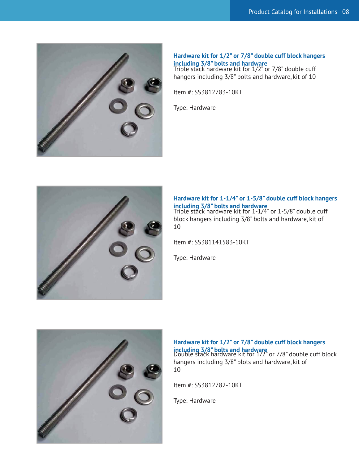

**Hardware kit for 1/2" or 7/8" double cuff block hangers including 3/8" bolts and hardware** Triple stack hardware kit for 1/2" or 7/8" double cuff hangers including 3/8" bolts and hardware, kit of 10

Item #: SS3812783-10KT

Type: Hardware



**Hardware kit for 1-1/4" or 1-5/8" double cuff block hangers including 3/8" bolts and hardware** Triple stack hardware kit for 1-1/4" or 1-5/8" double cuff block hangers including 3/8" bolts and hardware, kit of 10

Item #: SS381141583-10KT

Type: Hardware



**Hardware kit for 1/2" or 7/8" double cuff block hangers including 3/8" bolts and hardware**<br>Double stack hardware kit for 1/2" or 7/8" double cuff block hangers including 3/8" blots and hardware, kit of 10

Item #: SS3812782-10KT

Type: Hardware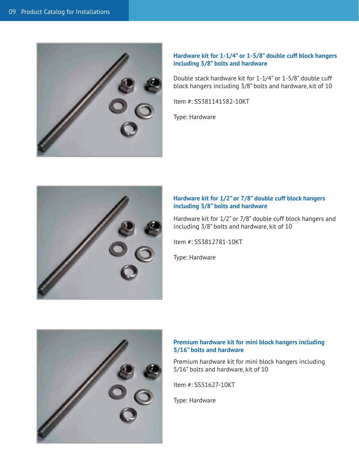

#### **Hardware kit for 1-1/4" or 1-5/8" double cuff block hangers including 3/8" bolts and hardware**

Double stack hardware kit for 1-1/4" or 1-5/8" double cuff block hangers including 3/8" bolts and hardware, kit of 10

Item #: SS381141582-10KT

Type: Hardware



#### **Hardware kit for 1/2" or 7/8" double cuff block hangers including 3/8" bolts and hardware**

Hardware kit for 1/2" or 7/8" double cuff block hangers and including 3/8" bolts and hardware, kit of 10

Item #: SS3812781-10KT

Type: Hardware



### **Premium hardware kit for mini block hangers including 5/16" bolts and hardware**

Premium hardware kit for mini block hangers including 5/16" bolts and hardware, kit of 10

Item #: SS51627-10KT

Type: Hardware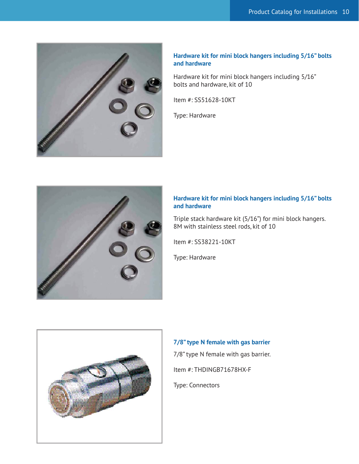

#### **Hardware kit for mini block hangers including 5/16" bolts and hardware**

Hardware kit for mini block hangers including 5/16" bolts and hardware, kit of 10

Item #: SS51628-10KT

Type: Hardware



### **Hardware kit for mini block hangers including 5/16" bolts and hardware**

Triple stack hardware kit (5/16") for mini block hangers. 8M with stainless steel rods, kit of 10

Item #: SS38221-10KT

Type: Hardware



**7/8" type N female with gas barrier** 7/8" type N female with gas barrier. Item #: THDINGB71678HX-F

Type: Connectors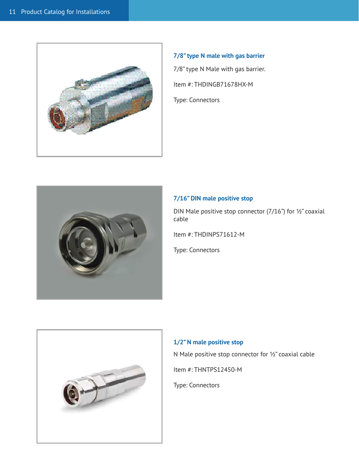

**7/8" type N male with gas barrier** 7/8" type N Male with gas barrier. Item #: THDINGB71678HX-M Type: Connectors



# **7/16" DIN male positive stop**

DIN Male positive stop connector (7/16") for ½" coaxial cable

Item #: THDINPS71612-M

Type: Connectors



#### **1/2" N male positive stop**

N Male positive stop connector for ½" coaxial cable

Item #: THNTPS12450-M

Type: Connectors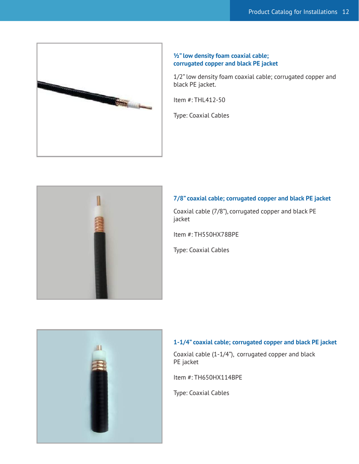

#### **½" low density foam coaxial cable; corrugated copper and black PE jacket**

1/2" low density foam coaxial cable; corrugated copper and black PE jacket.

Item #: THL412-50

Type: Coaxial Cables



# **7/8" coaxial cable; corrugated copper and black PE jacket**

Coaxial cable (7/8"), corrugated copper and black PE jacket

Item #: TH550HX78BPE

Type: Coaxial Cables



# **1-1/4" coaxial cable; corrugated copper and black PE jacket**

Coaxial cable (1-1/4"), corrugated copper and black PE jacket

Item #: TH650HX114BPE

Type: Coaxial Cables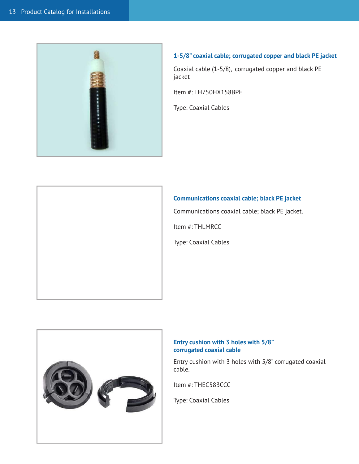

# **1-5/8" coaxial cable; corrugated copper and black PE jacket**

Coaxial cable (1-5/8), corrugated copper and black PE jacket

Item #: TH750HX158BPE

Type: Coaxial Cables



# **Communications coaxial cable; black PE jacket**

Communications coaxial cable; black PE jacket.

Item #: THLMRCC

Type: Coaxial Cables



### **Entry cushion with 3 holes with 5/8" corrugated coaxial cable**

Entry cushion with 3 holes with 5/8" corrugated coaxial cable.

Item #: THEC583CCC

Type: Coaxial Cables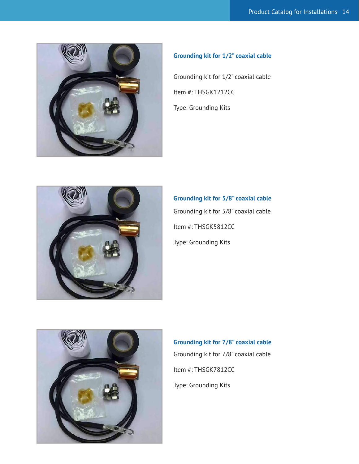

# **Grounding kit for 1/2" coaxial cable**

Grounding kit for 1/2" coaxial cable Item #: THSGK1212CC Type: Grounding Kits



**Grounding kit for 5/8" coaxial cable** Grounding kit for 5/8" coaxial cable Item #: THSGK5812CC Type: Grounding Kits



**Grounding kit for 7/8" coaxial cable** Grounding kit for 7/8" coaxial cable Item #: THSGK7812CC Type: Grounding Kits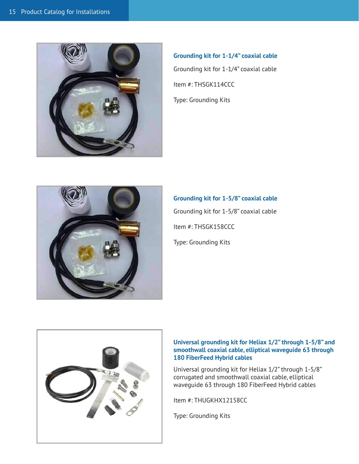

**Grounding kit for 1-1/4" coaxial cable** Grounding kit for 1-1/4" coaxial cable Item #: THSGK114CCC Type: Grounding Kits



**Grounding kit for 1-5/8" coaxial cable** Grounding kit for 1-5/8" coaxial cable Item #: THSGK158CCC Type: Grounding Kits



#### **Universal grounding kit for Heliax 1/2" through 1-5/8" and smoothwall coaxial cable, elliptical waveguide 63 through 180 FiberFeed Hybrid cables**

Universal grounding kit for Heliax 1/2" through 1-5/8" corrugated and smoothwall coaxial cable, elliptical waveguide 63 through 180 FiberFeed Hybrid cables

Item #: THUGKHX12158CC

Type: Grounding Kits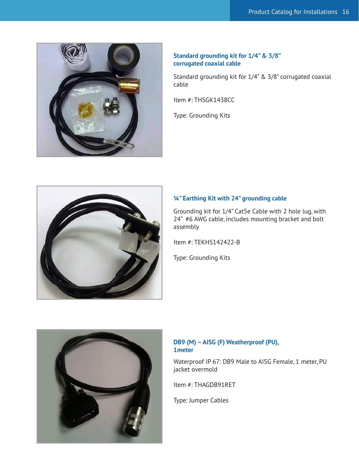

### **Standard grounding kit for 1/4" & 3/8" corrugated coaxial cable**

Standard grounding kit for 1/4" & 3/8" corrugated coaxial cable

Item #: THSGK1438CC

Type: Grounding Kits



### **¼" Earthing Kit with 24" grounding cable**

Grounding kit for 1/4" Cat5e Cable with 2 hole lug, with 24" #6 AWG cable, includes mounting bracket and bolt assembly

Item #: TEKHS142422-B

Type: Grounding Kits



# **DB9 (M) – AISG (F) Weatherproof (PU), 1meter**

Waterproof IP 67: DB9 Male to AISG Female, 1 meter, PU jacket overmold

Item #: THAGDB91RET

Type: Jumper Cables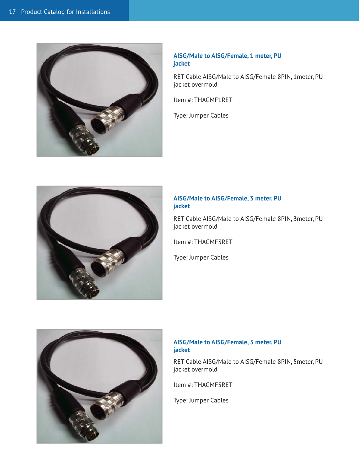

### **AISG/Male to AISG/Female, 1 meter, PU jacket**

RET Cable AISG/Male to AISG/Female 8PIN, 1meter, PU jacket overmold

Item #: THAGMF1RET

Type: Jumper Cables



# **AISG/Male to AISG/Female, 3 meter, PU jacket**

RET Cable AISG/Male to AISG/Female 8PIN, 3meter, PU jacket overmold

Item #: THAGMF3RET

Type: Jumper Cables



# **AISG/Male to AISG/Female, 5 meter, PU jacket**

RET Cable AISG/Male to AISG/Female 8PIN, 5meter, PU jacket overmold

Item #: THAGMF5RET

Type: Jumper Cables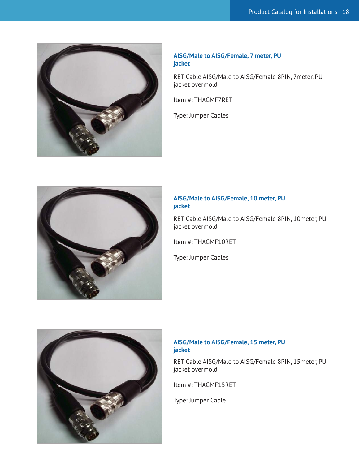

### **AISG/Male to AISG/Female, 7 meter, PU jacket**

RET Cable AISG/Male to AISG/Female 8PIN, 7meter, PU jacket overmold

Item #: THAGMF7RET

Type: Jumper Cables



# **AISG/Male to AISG/Female, 10 meter, PU jacket**

RET Cable AISG/Male to AISG/Female 8PIN, 10meter, PU jacket overmold

Item #: THAGMF10RET

Type: Jumper Cables



# **AISG/Male to AISG/Female, 15 meter, PU jacket**

RET Cable AISG/Male to AISG/Female 8PIN, 15meter, PU jacket overmold

Item #: THAGMF15RET

Type: Jumper Cable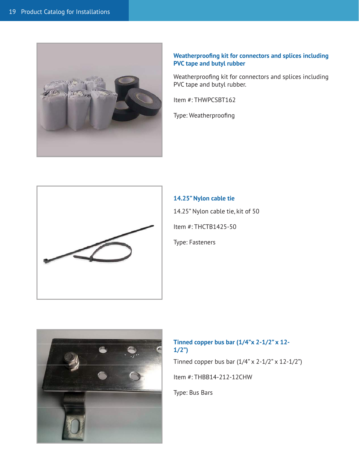

### **Weatherproofing kit for connectors and splices including PVC tape and butyl rubber**

Weatherproofing kit for connectors and splices including PVC tape and butyl rubber.

Item #: THWPCSBT162

Type: Weatherproofing



**14.25" Nylon cable tie** 14.25" Nylon cable tie, kit of 50 Item #: THCTB1425-50 Type: Fasteners



# **Tinned copper bus bar (1/4"x 2-1/2" x 12- 1/2")**

Tinned copper bus bar  $(1/4" \times 2-1/2" \times 12-1/2")$ 

Item #: THBB14-212-12CHW

Type: Bus Bars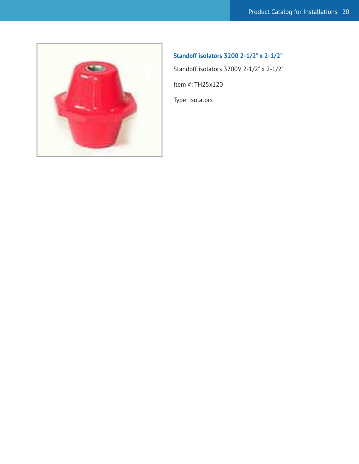

# **Standoff isolators 3200 2-1/2" x 2-1/2"**

Standoff isolators 3200V 2-1/2" x 2-1/2"

Item #: TH25x120

Type: Isolators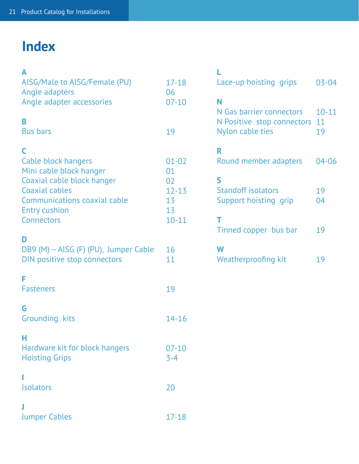# **Index**

| А<br>AISG/Male to AISG/Female (PU)<br>Angle adapters<br>Angle adapter accessories                                                                                                              | $17 - 18$<br>06<br>$07-10$                                  |
|------------------------------------------------------------------------------------------------------------------------------------------------------------------------------------------------|-------------------------------------------------------------|
| B<br><b>Bus bars</b>                                                                                                                                                                           | 19                                                          |
| C<br><b>Cable block hangers</b><br>Mini cable block hanger<br>Coaxial cable block hanger<br><b>Coaxial cables</b><br><b>Communications coaxial cable</b><br><b>Entry cushion</b><br>Connectors | $01 - 02$<br>01<br>02<br>$12 - 13$<br>13<br>13<br>$10 - 11$ |
| D<br>DB9 (M) - AISG (F) (PU), Jumper Cable<br>DIN positive stop connectors                                                                                                                     | 16<br>11                                                    |
| F<br><b>Fasteners</b>                                                                                                                                                                          | 19                                                          |
| G<br><b>Grounding kits</b>                                                                                                                                                                     | $14 - 16$                                                   |
| н<br>Hardware kit for block hangers<br><b>Hoisting Grips</b>                                                                                                                                   | $07 - 10$<br>$3 - 4$                                        |
| <b>Isolators</b>                                                                                                                                                                               | 20                                                          |
| J<br><b>Jumper Cables</b>                                                                                                                                                                      | 17-18                                                       |

| Lace-up hoisting grips                                                          | $03 - 04$             |
|---------------------------------------------------------------------------------|-----------------------|
| Ν<br>N Gas barrier connectors<br>N Positive stop connectors<br>Nylon cable ties | $10 - 11$<br>11<br>19 |
| R<br>Round member adapters                                                      | 04-06                 |
| S<br><b>Standoff isolators</b><br>Support hoisting grip                         | 19<br>04              |
| т<br>Tinned copper bus bar                                                      | 19                    |
| W<br>Weatherproofing kit                                                        | 19                    |